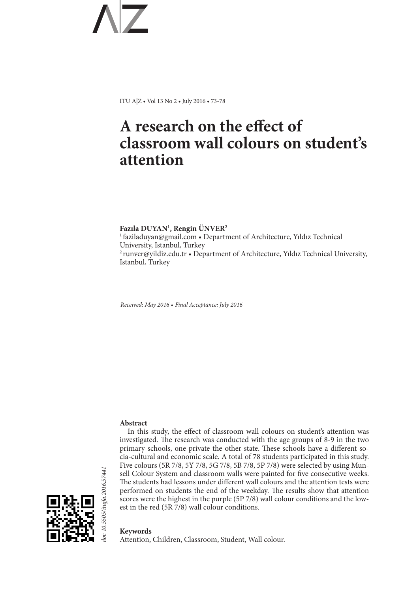ITU A|Z • Vol 13 No 2 • July 2016 • 73-78

# **A research on the effect of classroom wall colours on student's attention**

**Fazıla DUYAN1 , Rengin ÜNVER2** <sup>1</sup>faziladuyan@gmail.com • Department of Architecture, Yıldız Technical University, Istanbul, Turkey <sup>2</sup>runver@yildiz.edu.tr • Department of Architecture, Yıldız Technical University, Istanbul, Turkey

*Received: May 2016 • Final Acceptance: July 2016*

# **Abstract**

In this study, the effect of classroom wall colours on student's attention was investigated. The research was conducted with the age groups of 8-9 in the two primary schools, one private the other state. These schools have a different socia-cultural and economic scale. A total of 78 students participated in this study. Five colours (5R 7/8, 5Y 7/8, 5G 7/8, 5B 7/8, 5P 7/8) were selected by using Munsell Colour System and classroom walls were painted for five consecutive weeks. The students had lessons under different wall colours and the attention tests were performed on students the end of the weekday. The results show that attention scores were the highest in the purple (5P 7/8) wall colour conditions and the lowest in the red (5R 7/8) wall colour conditions.



### **Keywords**

Attention, Children, Classroom, Student, Wall colour.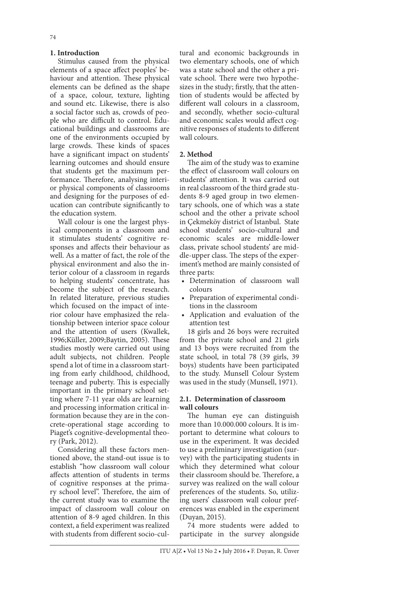# **1. Introduction**

Stimulus caused from the physical elements of a space affect peoples' behaviour and attention. These physical elements can be defined as the shape of a space, colour, texture, lighting and sound etc. Likewise, there is also a social factor such as, crowds of people who are difficult to control. Educational buildings and classrooms are one of the environments occupied by large crowds. These kinds of spaces have a significant impact on students' learning outcomes and should ensure that students get the maximum performance. Therefore, analysing interior physical components of classrooms and designing for the purposes of education can contribute significantly to the education system.

Wall colour is one the largest physical components in a classroom and it stimulates students' cognitive responses and affects their behaviour as well. As a matter of fact, the role of the physical environment and also the interior colour of a classroom in regards to helping students' concentrate, has become the subject of the research. In related literature, previous studies which focused on the impact of interior colour have emphasized the relationship between interior space colour and the attention of users (Kwallek, 1996;Küller, 2009;Baytin, 2005). These studies mostly were carried out using adult subjects, not children. People spend a lot of time in a classroom starting from early childhood, childhood, teenage and puberty. This is especially important in the primary school setting where 7-11 year olds are learning and processing information critical information because they are in the concrete-operational stage according to Piaget's cognitive-developmental theory (Park, 2012).

Considering all these factors mentioned above, the stand-out issue is to establish "how classroom wall colour affects attention of students in terms of cognitive responses at the primary school level". Therefore, the aim of the current study was to examine the impact of classroom wall colour on attention of 8-9 aged children. In this context, a field experiment was realized with students from different socio-cul-

tural and economic backgrounds in two elementary schools, one of which was a state school and the other a private school. There were two hypothesizes in the study; firstly, that the attention of students would be affected by different wall colours in a classroom, and secondly, whether socio-cultural and economic scales would affect cognitive responses of students to different wall colours.

### **2. Method**

The aim of the study was to examine the effect of classroom wall colours on students' attention. It was carried out in real classroom of the third grade students 8-9 aged group in two elementary schools, one of which was a state school and the other a private school in Çekmeköy district of Istanbul. State school students' socio-cultural and economic scales are middle-lower class, private school students' are middle-upper class. The steps of the experiment's method are mainly consisted of three parts:

- Determination of classroom wall colours
- Preparation of experimental conditions in the classroom
- Application and evaluation of the attention test

18 girls and 26 boys were recruited from the private school and 21 girls and 13 boys were recruited from the state school, in total 78 (39 girls, 39 boys) students have been participated to the study. Munsell Colour System was used in the study (Munsell, 1971).

### **2.1. Determination of classroom wall colours**

The human eye can distinguish more than 10.000.000 colours. It is important to determine what colours to use in the experiment. It was decided to use a preliminary investigation (survey) with the participating students in which they determined what colour their classroom should be. Therefore, a survey was realized on the wall colour preferences of the students. So, utilizing users' classroom wall colour preferences was enabled in the experiment (Duyan, 2015).

74 more students were added to participate in the survey alongside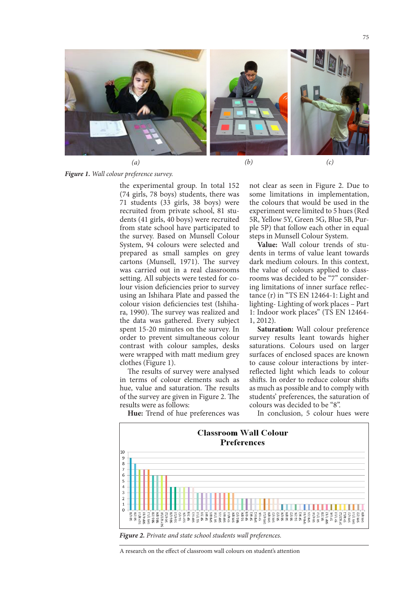

*(a)*

*(b) (c)*

*Figure 1. Wall colour preference survey.*

the experimental group. In total 152 (74 girls, 78 boys) students, there was 71 students (33 girls, 38 boys) were recruited from private school, 81 students (41 girls, 40 boys) were recruited from state school have participated to the survey. Based on Munsell Colour System, 94 colours were selected and prepared as small samples on grey cartons (Munsell, 1971). The survey was carried out in a real classrooms setting. All subjects were tested for colour vision deficiencies prior to survey using an Ishihara Plate and passed the colour vision deficiencies test (Ishihara, 1990). The survey was realized and the data was gathered. Every subject spent 15-20 minutes on the survey. In order to prevent simultaneous colour contrast with colour samples, desks were wrapped with matt medium grey clothes (Figure 1).

The results of survey were analysed in terms of colour elements such as hue, value and saturation. The results of the survey are given in Figure 2. The results were as follows:

not clear as seen in Figure 2. Due to some limitations in implementation, the colours that would be used in the experiment were limited to 5 hues (Red 5R, Yellow 5Y, Green 5G, Blue 5B, Purple 5P) that follow each other in equal steps in Munsell Colour System.

**Value:** Wall colour trends of students in terms of value leant towards dark medium colours. In this context, the value of colours applied to classrooms was decided to be "7" considering limitations of inner surface reflectance (r) in "TS EN 12464-1: Light and lighting- Lighting of work places – Part 1: Indoor work places" (TS EN 12464- 1, 2012).

**Saturation:** Wall colour preference survey results leant towards higher saturations. Colours used on larger surfaces of enclosed spaces are known to cause colour interactions by interreflected light which leads to colour shifts. In order to reduce colour shifts as much as possible and to comply with students' preferences, the saturation of colours was decided to be "8".

**Hue:** Trend of hue preferences was

In conclusion, 5 colour hues were



*Figure 2. Private and state school students wall preferences.*

A research on the effect of classroom wall colours on student's attention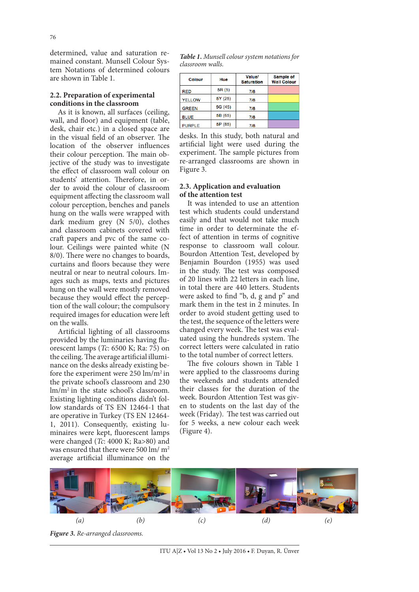# **2.2. Preparation of experimental conditions in the classroom**

As it is known, all surfaces (ceiling, wall, and floor) and equipment (table, desk, chair etc.) in a closed space are in the visual field of an observer. The location of the observer influences their colour perception. The main objective of the study was to investigate the effect of classroom wall colour on students' attention. Therefore, in order to avoid the colour of classroom equipment affecting the classroom wall colour perception, benches and panels hung on the walls were wrapped with dark medium grey (N 5/0), clothes and classroom cabinets covered with craft papers and pvc of the same colour. Ceilings were painted white (N 8/0). There were no changes to boards, curtains and floors because they were neutral or near to neutral colours. Images such as maps, texts and pictures hung on the wall were mostly removed because they would effect the perception of the wall colour; the compulsory required images for education were left on the walls.

Artificial lighting of all classrooms provided by the luminaries having fluorescent lamps (*Tc*: 6500 K; Ra: 75) on the ceiling. The average artificial illuminance on the desks already existing before the experiment were  $250 \text{ lm/m}^2$  in the private school's classroom and 230  $lm/m<sup>2</sup>$  in the state school's classroom. Existing lighting conditions didn't follow standards of TS EN 12464-1 that are operative in Turkey (TS EN 12464- 1, 2011). Consequently, existing luminaires were kept, fluorescent lamps were changed (*Tc*: 4000 K; Ra>80) and was ensured that there were 500 lm/ m<sup>2</sup> average artificial illuminance on the

*Table 1. Munsell colour system notations for classroom walls.*

| Colour        | Hue     | <b>Value/</b><br><b>Saturation</b> | Sample of<br><b>Wall Colour</b> |
|---------------|---------|------------------------------------|---------------------------------|
| <b>RED</b>    | 5R(5)   | 7/8                                |                                 |
| <b>YELLOW</b> | 5Y (25) | 7/8                                |                                 |
| <b>GREEN</b>  | 5G (45) | 7/8                                |                                 |
| <b>BLUE</b>   | 5B (65) | 7/8                                |                                 |
| <b>PURPLE</b> | 5P (85) | 7/8                                |                                 |

desks. In this study, both natural and artificial light were used during the experiment. The sample pictures from re-arranged classrooms are shown in Figure 3.

# **2.3. Application and evaluation of the attention test**

It was intended to use an attention test which students could understand easily and that would not take much time in order to determinate the effect of attention in terms of cognitive response to classroom wall colour. Bourdon Attention Test, developed by Benjamin Bourdon (1955) was used in the study. The test was composed of 20 lines with 22 letters in each line, in total there are 440 letters. Students were asked to find "b, d, g and p" and mark them in the test in 2 minutes. In order to avoid student getting used to the test, the sequence of the letters were changed every week. The test was evaluated using the hundreds system. The correct letters were calculated in ratio to the total number of correct letters.

The five colours shown in Table 1 were applied to the classrooms during the weekends and students attended their classes for the duration of the week. Bourdon Attention Test was given to students on the last day of the week (Friday). The test was carried out for 5 weeks, a new colour each week (Figure 4).

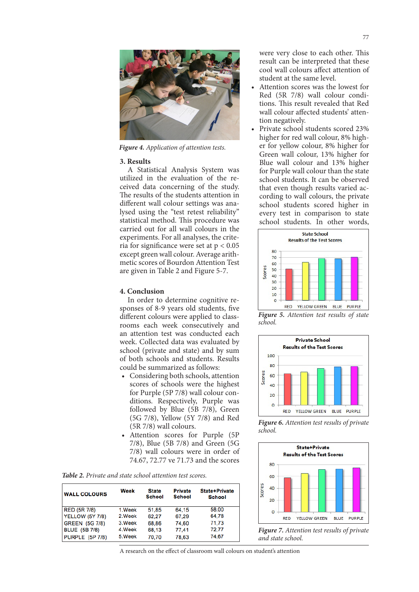

*Figure 4. Application of attention tests.*

#### **3. Results**

A Statistical Analysis System was utilized in the evaluation of the received data concerning of the study. The results of the students attention in different wall colour settings was analysed using the "test retest reliability" statistical method. This procedure was carried out for all wall colours in the experiments. For all analyses, the criteria for significance were set at  $p < 0.05$ except green wall colour. Average arithmetic scores of Bourdon Attention Test are given in Table 2 and Figure 5-7.

# **4. Conclusion**

In order to determine cognitive responses of 8-9 years old students, five different colours were applied to classrooms each week consecutively and an attention test was conducted each week. Collected data was evaluated by school (private and state) and by sum of both schools and students. Results could be summarized as follows:

- Considering both schools, attention scores of schools were the highest for Purple (5P 7/8) wall colour conditions. Respectively, Purple was followed by Blue (5B 7/8), Green (5G 7/8), Yellow (5Y 7/8) and Red (5R 7/8) wall colours.
- Attention scores for Purple (5P) 7/8), Blue (5B 7/8) and Green (5G 7/8) wall colours were in order of 74.67, 72.77 ve 71.73 and the scores

| <b>WALL COLOURS</b>    | Week    | <b>State</b><br><b>School</b> | <b>Private</b><br>School | <b>State+Private</b><br><b>School</b> |
|------------------------|---------|-------------------------------|--------------------------|---------------------------------------|
| <b>RED (5R 7/8)</b>    | 1.Week  | 51,85                         | 64.15                    | 58.00                                 |
| <b>YELLOW (5Y 7/8)</b> | 2.Week  | 62.27                         | 67,29                    | 64,78                                 |
| <b>GREEN (5G 7/8)</b>  | 3. Week | 68.86                         | 74.60                    | 71,73                                 |
| <b>BLUE</b> (5B 7/8)   | 4.Week  | 68.13                         | 77.41                    | 72,77                                 |
| <b>PURPLE (5P 7/8)</b> | 5.Week  | 70,70                         | 78,63                    | 74,67                                 |

*Table 2. Private and state school attention test scores.*

were very close to each other. This result can be interpreted that these cool wall colours affect attention of student at the same level.

- Attention scores was the lowest for Red (5R 7/8) wall colour conditions. This result revealed that Red wall colour affected students' attention negatively.
- Private school students scored 23% higher for red wall colour, 8% higher for yellow colour, 8% higher for Green wall colour, 13% higher for Blue wall colour and 13% higher for Purple wall colour than the state school students. It can be observed that even though results varied according to wall colours, the private school students scored higher in every test in comparison to state school students. In other words,



*Figure 5. Attention test results of state school.*



*Figure 6. Attention test results of private school.*



*Figure 7. Attention test results of private and state school.*

A research on the effect of classroom wall colours on student's attention